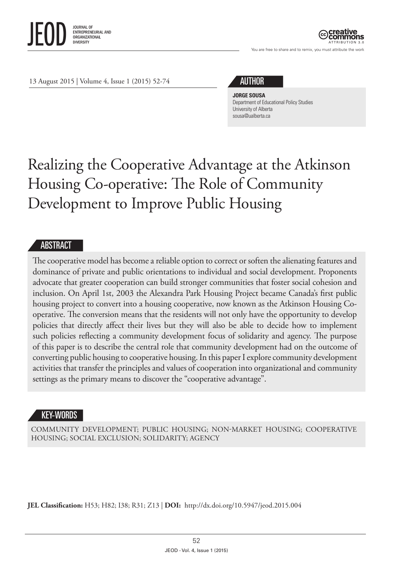

ATTRIBUTION 3.0

You are free to share and to remix, you must attribute the work

13 August 2015 | Volume 4, Issue 1 (2015) 52-74

# AUTHOR

#### **JORGE SOUSA**

Department of Educational Policy Studies University of Alberta [sousa@ualberta.ca](mailto:sousa@ualberta.ca)

# Realizing the Cooperative Advantage at the Atkinson Housing Co-operative: The Role of Community Development to Improve Public Housing

#### ABSTRACT

The cooperative model has become a reliable option to correct or soften the alienating features and dominance of private and public orientations to individual and social development. Proponents advocate that greater cooperation can build stronger communities that foster social cohesion and inclusion. On April 1st, 2003 the Alexandra Park Housing Project became Canada's first public housing project to convert into a housing cooperative, now known as the Atkinson Housing Cooperative. The conversion means that the residents will not only have the opportunity to develop policies that directly affect their lives but they will also be able to decide how to implement such policies reflecting a community development focus of solidarity and agency. The purpose of this paper is to describe the central role that community development had on the outcome of converting public housing to cooperative housing. In this paper I explore community development activities that transfer the principles and values of cooperation into organizational and community settings as the primary means to discover the "cooperative advantage".

### KEY-WORDS

COMMUNITY DEVELOPMENT; PUBLIC HOUSING; NON-MARKET HOUSING; COOPERATIVE HOUSING; SOCIAL EXCLUSION; SOLIDARITY; AGENCY

**JEL Classification:** H53; H82; I38; R31; Z13 | **DOI:** <http://dx.doi.org/10.5947/jeod.2015.004>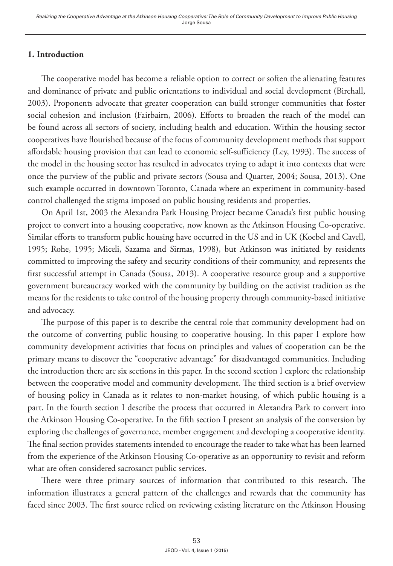# **1. Introduction**

The cooperative model has become a reliable option to correct or soften the alienating features and dominance of private and public orientations to individual and social development (Birchall, 2003). Proponents advocate that greater cooperation can build stronger communities that foster social cohesion and inclusion (Fairbairn, 2006). Efforts to broaden the reach of the model can be found across all sectors of society, including health and education. Within the housing sector cooperatives have flourished because of the focus of community development methods that support affordable housing provision that can lead to economic self-sufficiency (Ley, 1993). The success of the model in the housing sector has resulted in advocates trying to adapt it into contexts that were once the purview of the public and private sectors (Sousa and Quarter, 2004; Sousa, 2013). One such example occurred in downtown Toronto, Canada where an experiment in community-based control challenged the stigma imposed on public housing residents and properties.

On April 1st, 2003 the Alexandra Park Housing Project became Canada's first public housing project to convert into a housing cooperative, now known as the Atkinson Housing Co-operative. Similar efforts to transform public housing have occurred in the US and in UK (Koebel and Cavell, 1995; Rohe, 1995; Miceli, Sazama and Sirmas, 1998), but Atkinson was initiated by residents committed to improving the safety and security conditions of their community, and represents the first successful attempt in Canada (Sousa, 2013). A cooperative resource group and a supportive government bureaucracy worked with the community by building on the activist tradition as the means for the residents to take control of the housing property through community-based initiative and advocacy.

The purpose of this paper is to describe the central role that community development had on the outcome of converting public housing to cooperative housing. In this paper I explore how community development activities that focus on principles and values of cooperation can be the primary means to discover the "cooperative advantage" for disadvantaged communities. Including the introduction there are six sections in this paper. In the second section I explore the relationship between the cooperative model and community development. The third section is a brief overview of housing policy in Canada as it relates to non-market housing, of which public housing is a part. In the fourth section I describe the process that occurred in Alexandra Park to convert into the Atkinson Housing Co-operative. In the fifth section I present an analysis of the conversion by exploring the challenges of governance, member engagement and developing a cooperative identity. The final section provides statements intended to encourage the reader to take what has been learned from the experience of the Atkinson Housing Co-operative as an opportunity to revisit and reform what are often considered sacrosanct public services.

There were three primary sources of information that contributed to this research. The information illustrates a general pattern of the challenges and rewards that the community has faced since 2003. The first source relied on reviewing existing literature on the Atkinson Housing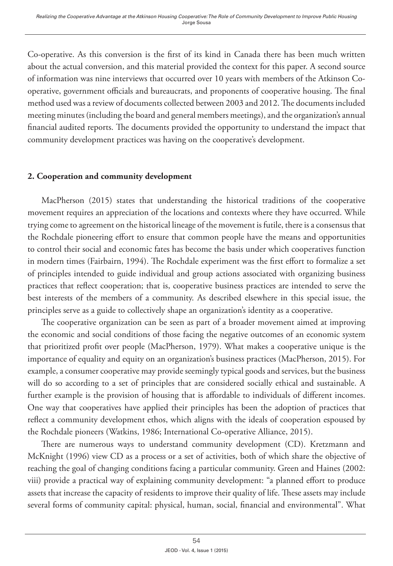Co-operative. As this conversion is the first of its kind in Canada there has been much written about the actual conversion, and this material provided the context for this paper. A second source of information was nine interviews that occurred over 10 years with members of the Atkinson Cooperative, government officials and bureaucrats, and proponents of cooperative housing. The final method used was a review of documents collected between 2003 and 2012. The documents included meeting minutes (including the board and general members meetings), and the organization's annual financial audited reports. The documents provided the opportunity to understand the impact that community development practices was having on the cooperative's development.

### **2. Cooperation and community development**

MacPherson (2015) states that understanding the historical traditions of the cooperative movement requires an appreciation of the locations and contexts where they have occurred. While trying come to agreement on the historical lineage of the movement is futile, there is a consensus that the Rochdale pioneering effort to ensure that common people have the means and opportunities to control their social and economic fates has become the basis under which cooperatives function in modern times (Fairbairn, 1994). The Rochdale experiment was the first effort to formalize a set of principles intended to guide individual and group actions associated with organizing business practices that reflect cooperation; that is, cooperative business practices are intended to serve the best interests of the members of a community. As described elsewhere in this special issue, the principles serve as a guide to collectively shape an organization's identity as a cooperative.

The cooperative organization can be seen as part of a broader movement aimed at improving the economic and social conditions of those facing the negative outcomes of an economic system that prioritized profit over people (MacPherson, 1979). What makes a cooperative unique is the importance of equality and equity on an organization's business practices (MacPherson, 2015). For example, a consumer cooperative may provide seemingly typical goods and services, but the business will do so according to a set of principles that are considered socially ethical and sustainable. A further example is the provision of housing that is affordable to individuals of different incomes. One way that cooperatives have applied their principles has been the adoption of practices that reflect a community development ethos, which aligns with the ideals of cooperation espoused by the Rochdale pioneers (Watkins, 1986; International Co-operative Alliance, 2015).

There are numerous ways to understand community development (CD). Kretzmann and McKnight (1996) view CD as a process or a set of activities, both of which share the objective of reaching the goal of changing conditions facing a particular community. Green and Haines (2002: viii) provide a practical way of explaining community development: "a planned effort to produce assets that increase the capacity of residents to improve their quality of life. These assets may include several forms of community capital: physical, human, social, financial and environmental". What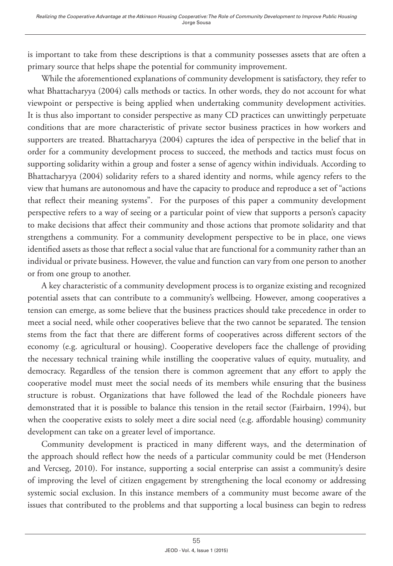is important to take from these descriptions is that a community possesses assets that are often a primary source that helps shape the potential for community improvement.

While the aforementioned explanations of community development is satisfactory, they refer to what Bhattacharyya (2004) calls methods or tactics. In other words, they do not account for what viewpoint or perspective is being applied when undertaking community development activities. It is thus also important to consider perspective as many CD practices can unwittingly perpetuate conditions that are more characteristic of private sector business practices in how workers and supporters are treated. Bhattacharyya (2004) captures the idea of perspective in the belief that in order for a community development process to succeed, the methods and tactics must focus on supporting solidarity within a group and foster a sense of agency within individuals. According to Bhattacharyya (2004) solidarity refers to a shared identity and norms, while agency refers to the view that humans are autonomous and have the capacity to produce and reproduce a set of "actions that reflect their meaning systems". For the purposes of this paper a community development perspective refers to a way of seeing or a particular point of view that supports a person's capacity to make decisions that affect their community and those actions that promote solidarity and that strengthens a community. For a community development perspective to be in place, one views identified assets as those that reflect a social value that are functional for a community rather than an individual or private business. However, the value and function can vary from one person to another or from one group to another.

A key characteristic of a community development process is to organize existing and recognized potential assets that can contribute to a community's wellbeing. However, among cooperatives a tension can emerge, as some believe that the business practices should take precedence in order to meet a social need, while other cooperatives believe that the two cannot be separated. The tension stems from the fact that there are different forms of cooperatives across different sectors of the economy (e.g. agricultural or housing). Cooperative developers face the challenge of providing the necessary technical training while instilling the cooperative values of equity, mutuality, and democracy. Regardless of the tension there is common agreement that any effort to apply the cooperative model must meet the social needs of its members while ensuring that the business structure is robust. Organizations that have followed the lead of the Rochdale pioneers have demonstrated that it is possible to balance this tension in the retail sector (Fairbairn, 1994), but when the cooperative exists to solely meet a dire social need (e.g. affordable housing) community development can take on a greater level of importance.

Community development is practiced in many different ways, and the determination of the approach should reflect how the needs of a particular community could be met (Henderson and Vercseg, 2010). For instance, supporting a social enterprise can assist a community's desire of improving the level of citizen engagement by strengthening the local economy or addressing systemic social exclusion. In this instance members of a community must become aware of the issues that contributed to the problems and that supporting a local business can begin to redress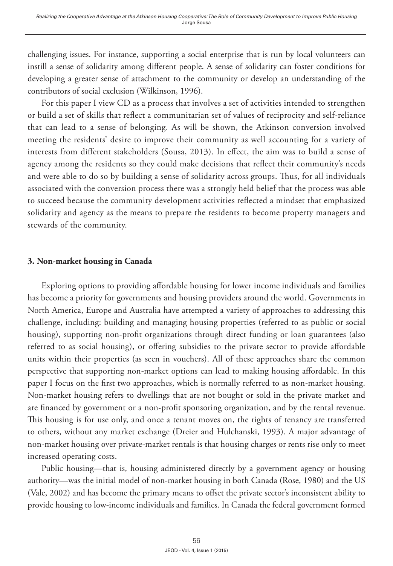challenging issues. For instance, supporting a social enterprise that is run by local volunteers can instill a sense of solidarity among different people. A sense of solidarity can foster conditions for developing a greater sense of attachment to the community or develop an understanding of the contributors of social exclusion (Wilkinson, 1996).

For this paper I view CD as a process that involves a set of activities intended to strengthen or build a set of skills that reflect a communitarian set of values of reciprocity and self-reliance that can lead to a sense of belonging. As will be shown, the Atkinson conversion involved meeting the residents' desire to improve their community as well accounting for a variety of interests from different stakeholders (Sousa, 2013). In effect, the aim was to build a sense of agency among the residents so they could make decisions that reflect their community's needs and were able to do so by building a sense of solidarity across groups. Thus, for all individuals associated with the conversion process there was a strongly held belief that the process was able to succeed because the community development activities reflected a mindset that emphasized solidarity and agency as the means to prepare the residents to become property managers and stewards of the community.

### **3. Non-market housing in Canada**

Exploring options to providing affordable housing for lower income individuals and families has become a priority for governments and housing providers around the world. Governments in North America, Europe and Australia have attempted a variety of approaches to addressing this challenge, including: building and managing housing properties (referred to as public or social housing), supporting non-profit organizations through direct funding or loan guarantees (also referred to as social housing), or offering subsidies to the private sector to provide affordable units within their properties (as seen in vouchers). All of these approaches share the common perspective that supporting non-market options can lead to making housing affordable. In this paper I focus on the first two approaches, which is normally referred to as non-market housing. Non-market housing refers to dwellings that are not bought or sold in the private market and are financed by government or a non-profit sponsoring organization, and by the rental revenue. This housing is for use only, and once a tenant moves on, the rights of tenancy are transferred to others, without any market exchange (Dreier and Hulchanski, 1993). A major advantage of non-market housing over private-market rentals is that housing charges or rents rise only to meet increased operating costs.

Public housing—that is, housing administered directly by a government agency or housing authority—was the initial model of non-market housing in both Canada (Rose, 1980) and the US (Vale, 2002) and has become the primary means to offset the private sector's inconsistent ability to provide housing to low-income individuals and families. In Canada the federal government formed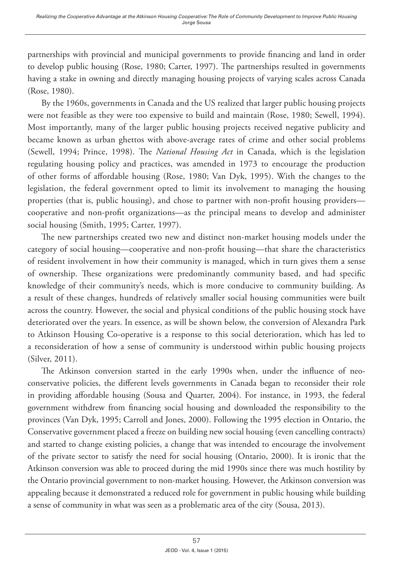partnerships with provincial and municipal governments to provide financing and land in order to develop public housing (Rose, 1980; Carter, 1997). The partnerships resulted in governments having a stake in owning and directly managing housing projects of varying scales across Canada (Rose, 1980).

By the 1960s, governments in Canada and the US realized that larger public housing projects were not feasible as they were too expensive to build and maintain (Rose, 1980; Sewell, 1994). Most importantly, many of the larger public housing projects received negative publicity and became known as urban ghettos with above-average rates of crime and other social problems (Sewell, 1994; Prince, 1998). The *National Housing Act* in Canada, which is the legislation regulating housing policy and practices, was amended in 1973 to encourage the production of other forms of affordable housing (Rose, 1980; Van Dyk, 1995). With the changes to the legislation, the federal government opted to limit its involvement to managing the housing properties (that is, public housing), and chose to partner with non-profit housing providers cooperative and non-profit organizations—as the principal means to develop and administer social housing (Smith, 1995; Carter, 1997).

The new partnerships created two new and distinct non-market housing models under the category of social housing—cooperative and non-profit housing—that share the characteristics of resident involvement in how their community is managed, which in turn gives them a sense of ownership. These organizations were predominantly community based, and had specific knowledge of their community's needs, which is more conducive to community building. As a result of these changes, hundreds of relatively smaller social housing communities were built across the country. However, the social and physical conditions of the public housing stock have deteriorated over the years. In essence, as will be shown below, the conversion of Alexandra Park to Atkinson Housing Co-operative is a response to this social deterioration, which has led to a reconsideration of how a sense of community is understood within public housing projects (Silver, 2011).

The Atkinson conversion started in the early 1990s when, under the influence of neoconservative policies, the different levels governments in Canada began to reconsider their role in providing affordable housing (Sousa and Quarter, 2004). For instance, in 1993, the federal government withdrew from financing social housing and downloaded the responsibility to the provinces (Van Dyk, 1995; Carroll and Jones, 2000). Following the 1995 election in Ontario, the Conservative government placed a freeze on building new social housing (even cancelling contracts) and started to change existing policies, a change that was intended to encourage the involvement of the private sector to satisfy the need for social housing (Ontario, 2000). It is ironic that the Atkinson conversion was able to proceed during the mid 1990s since there was much hostility by the Ontario provincial government to non-market housing. However, the Atkinson conversion was appealing because it demonstrated a reduced role for government in public housing while building a sense of community in what was seen as a problematic area of the city (Sousa, 2013).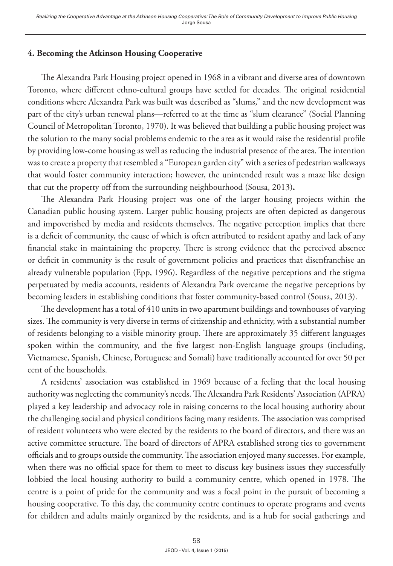# **4. Becoming the Atkinson Housing Cooperative**

The Alexandra Park Housing project opened in 1968 in a vibrant and diverse area of downtown Toronto, where different ethno-cultural groups have settled for decades. The original residential conditions where Alexandra Park was built was described as "slums," and the new development was part of the city's urban renewal plans—referred to at the time as "slum clearance" (Social Planning Council of Metropolitan Toronto, 1970). It was believed that building a public housing project was the solution to the many social problems endemic to the area as it would raise the residential profile by providing low-come housing as well as reducing the industrial presence of the area. The intention was to create a property that resembled a "European garden city" with a series of pedestrian walkways that would foster community interaction; however, the unintended result was a maze like design that cut the property off from the surrounding neighbourhood (Sousa, 2013)**.**

The Alexandra Park Housing project was one of the larger housing projects within the Canadian public housing system. Larger public housing projects are often depicted as dangerous and impoverished by media and residents themselves. The negative perception implies that there is a deficit of community, the cause of which is often attributed to resident apathy and lack of any financial stake in maintaining the property. There is strong evidence that the perceived absence or deficit in community is the result of government policies and practices that disenfranchise an already vulnerable population (Epp, 1996). Regardless of the negative perceptions and the stigma perpetuated by media accounts, residents of Alexandra Park overcame the negative perceptions by becoming leaders in establishing conditions that foster community-based control (Sousa, 2013).

The development has a total of 410 units in two apartment buildings and townhouses of varying sizes. The community is very diverse in terms of citizenship and ethnicity, with a substantial number of residents belonging to a visible minority group. There are approximately 35 different languages spoken within the community, and the five largest non-English language groups (including, Vietnamese, Spanish, Chinese, Portuguese and Somali) have traditionally accounted for over 50 per cent of the households.

A residents' association was established in 1969 because of a feeling that the local housing authority was neglecting the community's needs. The Alexandra Park Residents' Association (APRA) played a key leadership and advocacy role in raising concerns to the local housing authority about the challenging social and physical conditions facing many residents. The association was comprised of resident volunteers who were elected by the residents to the board of directors, and there was an active committee structure. The board of directors of APRA established strong ties to government officials and to groups outside the community. The association enjoyed many successes. For example, when there was no official space for them to meet to discuss key business issues they successfully lobbied the local housing authority to build a community centre, which opened in 1978. The centre is a point of pride for the community and was a focal point in the pursuit of becoming a housing cooperative. To this day, the community centre continues to operate programs and events for children and adults mainly organized by the residents, and is a hub for social gatherings and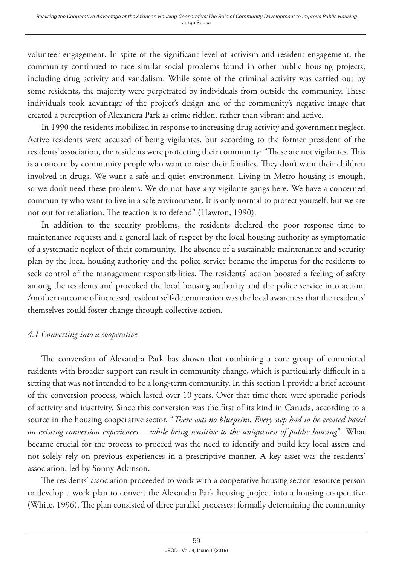volunteer engagement. In spite of the significant level of activism and resident engagement, the community continued to face similar social problems found in other public housing projects, including drug activity and vandalism. While some of the criminal activity was carried out by some residents, the majority were perpetrated by individuals from outside the community. These individuals took advantage of the project's design and of the community's negative image that created a perception of Alexandra Park as crime ridden, rather than vibrant and active.

In 1990 the residents mobilized in response to increasing drug activity and government neglect. Active residents were accused of being vigilantes, but according to the former president of the residents' association, the residents were protecting their community: "These are not vigilantes. This is a concern by community people who want to raise their families. They don't want their children involved in drugs. We want a safe and quiet environment. Living in Metro housing is enough, so we don't need these problems. We do not have any vigilante gangs here. We have a concerned community who want to live in a safe environment. It is only normal to protect yourself, but we are not out for retaliation. The reaction is to defend" (Hawton, 1990).

In addition to the security problems, the residents declared the poor response time to maintenance requests and a general lack of respect by the local housing authority as symptomatic of a systematic neglect of their community. The absence of a sustainable maintenance and security plan by the local housing authority and the police service became the impetus for the residents to seek control of the management responsibilities. The residents' action boosted a feeling of safety among the residents and provoked the local housing authority and the police service into action. Another outcome of increased resident self-determination was the local awareness that the residents' themselves could foster change through collective action.

#### *4.1 Converting into a cooperative*

The conversion of Alexandra Park has shown that combining a core group of committed residents with broader support can result in community change, which is particularly difficult in a setting that was not intended to be a long-term community. In this section I provide a brief account of the conversion process, which lasted over 10 years. Over that time there were sporadic periods of activity and inactivity. Since this conversion was the first of its kind in Canada, according to a source in the housing cooperative sector, "*There was no blueprint. Every step had to be created based on existing conversion experiences… while being sensitive to the uniqueness of public housing*". What became crucial for the process to proceed was the need to identify and build key local assets and not solely rely on previous experiences in a prescriptive manner. A key asset was the residents' association, led by Sonny Atkinson.

The residents' association proceeded to work with a cooperative housing sector resource person to develop a work plan to convert the Alexandra Park housing project into a housing cooperative (White, 1996). The plan consisted of three parallel processes: formally determining the community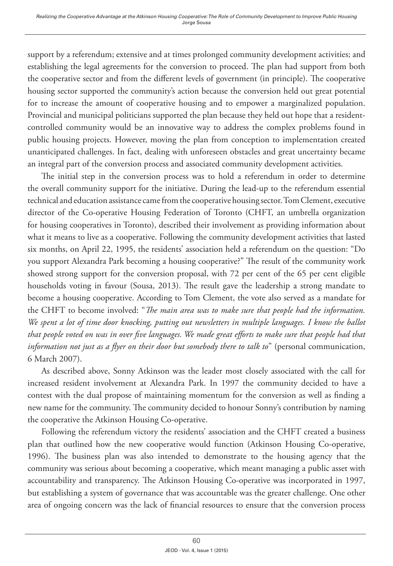support by a referendum; extensive and at times prolonged community development activities; and establishing the legal agreements for the conversion to proceed. The plan had support from both the cooperative sector and from the different levels of government (in principle). The cooperative housing sector supported the community's action because the conversion held out great potential for to increase the amount of cooperative housing and to empower a marginalized population. Provincial and municipal politicians supported the plan because they held out hope that a residentcontrolled community would be an innovative way to address the complex problems found in public housing projects. However, moving the plan from conception to implementation created unanticipated challenges. In fact, dealing with unforeseen obstacles and great uncertainty became an integral part of the conversion process and associated community development activities.

The initial step in the conversion process was to hold a referendum in order to determine the overall community support for the initiative. During the lead-up to the referendum essential technical and education assistance came from the cooperative housing sector. Tom Clement, executive director of the Co-operative Housing Federation of Toronto (CHFT, an umbrella organization for housing cooperatives in Toronto), described their involvement as providing information about what it means to live as a cooperative. Following the community development activities that lasted six months, on April 22, 1995, the residents' association held a referendum on the question: "Do you support Alexandra Park becoming a housing cooperative?" The result of the community work showed strong support for the conversion proposal, with 72 per cent of the 65 per cent eligible households voting in favour (Sousa, 2013). The result gave the leadership a strong mandate to become a housing cooperative. According to Tom Clement, the vote also served as a mandate for the CHFT to become involved: "*The main area was to make sure that people had the information. We spent a lot of time door knocking, putting out newsletters in multiple languages. I know the ballot that people voted on was in over five languages. We made great efforts to make sure that people had that information not just as a flyer on their door but somebody there to talk to*" (personal communication, 6 March 2007).

As described above, Sonny Atkinson was the leader most closely associated with the call for increased resident involvement at Alexandra Park. In 1997 the community decided to have a contest with the dual propose of maintaining momentum for the conversion as well as finding a new name for the community. The community decided to honour Sonny's contribution by naming the cooperative the Atkinson Housing Co-operative.

Following the referendum victory the residents' association and the CHFT created a business plan that outlined how the new cooperative would function (Atkinson Housing Co-operative, 1996). The business plan was also intended to demonstrate to the housing agency that the community was serious about becoming a cooperative, which meant managing a public asset with accountability and transparency. The Atkinson Housing Co-operative was incorporated in 1997, but establishing a system of governance that was accountable was the greater challenge. One other area of ongoing concern was the lack of financial resources to ensure that the conversion process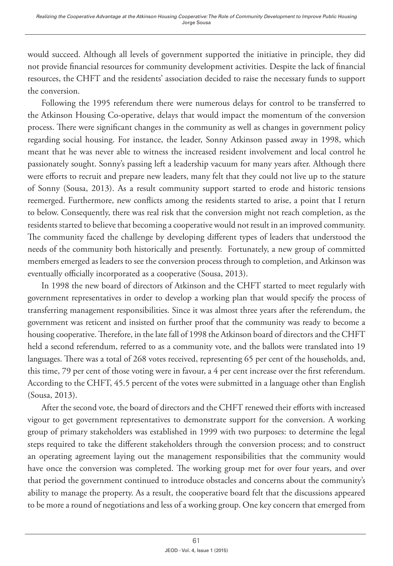would succeed. Although all levels of government supported the initiative in principle, they did not provide financial resources for community development activities. Despite the lack of financial resources, the CHFT and the residents' association decided to raise the necessary funds to support the conversion.

Following the 1995 referendum there were numerous delays for control to be transferred to the Atkinson Housing Co-operative, delays that would impact the momentum of the conversion process. There were significant changes in the community as well as changes in government policy regarding social housing. For instance, the leader, Sonny Atkinson passed away in 1998, which meant that he was never able to witness the increased resident involvement and local control he passionately sought. Sonny's passing left a leadership vacuum for many years after. Although there were efforts to recruit and prepare new leaders, many felt that they could not live up to the stature of Sonny (Sousa, 2013). As a result community support started to erode and historic tensions reemerged. Furthermore, new conflicts among the residents started to arise, a point that I return to below. Consequently, there was real risk that the conversion might not reach completion, as the residents started to believe that becoming a cooperative would not result in an improved community. The community faced the challenge by developing different types of leaders that understood the needs of the community both historically and presently. Fortunately, a new group of committed members emerged as leaders to see the conversion process through to completion, and Atkinson was eventually officially incorporated as a cooperative (Sousa, 2013).

In 1998 the new board of directors of Atkinson and the CHFT started to meet regularly with government representatives in order to develop a working plan that would specify the process of transferring management responsibilities. Since it was almost three years after the referendum, the government was reticent and insisted on further proof that the community was ready to become a housing cooperative. Therefore, in the late fall of 1998 the Atkinson board of directors and the CHFT held a second referendum, referred to as a community vote, and the ballots were translated into 19 languages. There was a total of 268 votes received, representing 65 per cent of the households, and, this time, 79 per cent of those voting were in favour, a 4 per cent increase over the first referendum. According to the CHFT, 45.5 percent of the votes were submitted in a language other than English (Sousa, 2013).

After the second vote, the board of directors and the CHFT renewed their efforts with increased vigour to get government representatives to demonstrate support for the conversion. A working group of primary stakeholders was established in 1999 with two purposes: to determine the legal steps required to take the different stakeholders through the conversion process; and to construct an operating agreement laying out the management responsibilities that the community would have once the conversion was completed. The working group met for over four years, and over that period the government continued to introduce obstacles and concerns about the community's ability to manage the property. As a result, the cooperative board felt that the discussions appeared to be more a round of negotiations and less of a working group. One key concern that emerged from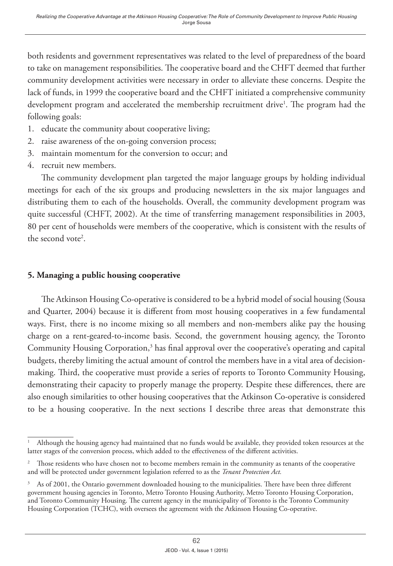both residents and government representatives was related to the level of preparedness of the board to take on management responsibilities. The cooperative board and the CHFT deemed that further community development activities were necessary in order to alleviate these concerns. Despite the lack of funds, in 1999 the cooperative board and the CHFT initiated a comprehensive community development program and accelerated the membership recruitment drive<sup>1</sup>. The program had the following goals:

- 1. educate the community about cooperative living;
- 2. raise awareness of the on-going conversion process;
- 3. maintain momentum for the conversion to occur; and
- 4. recruit new members.

The community development plan targeted the major language groups by holding individual meetings for each of the six groups and producing newsletters in the six major languages and distributing them to each of the households. Overall, the community development program was quite successful (CHFT, 2002). At the time of transferring management responsibilities in 2003, 80 per cent of households were members of the cooperative, which is consistent with the results of the second vote<sup>2</sup>.

### **5. Managing a public housing cooperative**

The Atkinson Housing Co-operative is considered to be a hybrid model of social housing (Sousa and Quarter, 2004) because it is different from most housing cooperatives in a few fundamental ways. First, there is no income mixing so all members and non-members alike pay the housing charge on a rent-geared-to-income basis. Second, the government housing agency, the Toronto Community Housing Corporation,<sup>3</sup> has final approval over the cooperative's operating and capital budgets, thereby limiting the actual amount of control the members have in a vital area of decisionmaking. Third, the cooperative must provide a series of reports to Toronto Community Housing, demonstrating their capacity to properly manage the property. Despite these differences, there are also enough similarities to other housing cooperatives that the Atkinson Co-operative is considered to be a housing cooperative. In the next sections I describe three areas that demonstrate this

<sup>1</sup> Although the housing agency had maintained that no funds would be available, they provided token resources at the latter stages of the conversion process, which added to the effectiveness of the different activities.

<sup>2</sup> Those residents who have chosen not to become members remain in the community as tenants of the cooperative and will be protected under government legislation referred to as the *Tenant Protection Act.*

<sup>3</sup> As of 2001, the Ontario government downloaded housing to the municipalities. There have been three different government housing agencies in Toronto, Metro Toronto Housing Authority, Metro Toronto Housing Corporation, and Toronto Community Housing. The current agency in the municipality of Toronto is the Toronto Community Housing Corporation (TCHC), with oversees the agreement with the Atkinson Housing Co-operative.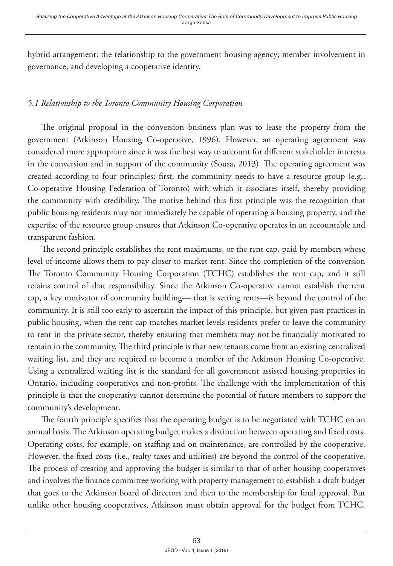hybrid arrangement: the relationship to the government housing agency; member involvement in governance; and developing a cooperative identity.

# *5.1 Relationship to the Toronto Community Housing Corporation*

The original proposal in the conversion business plan was to lease the property from the government (Atkinson Housing Co-operative, 1996). However, an operating agreement was considered more appropriate since it was the best way to account for different stakeholder interests in the conversion and in support of the community (Sousa, 2013). The operating agreement was created according to four principles: first, the community needs to have a resource group (e.g., Co-operative Housing Federation of Toronto) with which it associates itself, thereby providing the community with credibility. The motive behind this first principle was the recognition that public housing residents may not immediately be capable of operating a housing property, and the expertise of the resource group ensures that Atkinson Co-operative operates in an accountable and transparent fashion.

The second principle establishes the rent maximums, or the rent cap, paid by members whose level of income allows them to pay closer to market rent. Since the completion of the conversion The Toronto Community Housing Corporation (TCHC) establishes the rent cap, and it still retains control of that responsibility. Since the Atkinson Co-operative cannot establish the rent cap, a key motivator of community building— that is setting rents—is beyond the control of the community. It is still too early to ascertain the impact of this principle, but given past practices in public housing, when the rent cap matches market levels residents prefer to leave the community to rent in the private sector, thereby ensuring that members may not be financially motivated to remain in the community. The third principle is that new tenants come from an existing centralized waiting list, and they are required to become a member of the Atkinson Housing Co-operative. Using a centralized waiting list is the standard for all government assisted housing properties in Ontario, including cooperatives and non-profits. The challenge with the implementation of this principle is that the cooperative cannot determine the potential of future members to support the community's development.

The fourth principle specifies that the operating budget is to be negotiated with TCHC on an annual basis. The Atkinson operating budget makes a distinction between operating and fixed costs. Operating costs, for example, on staffing and on maintenance, are controlled by the cooperative. However, the fixed costs (i.e., realty taxes and utilities) are beyond the control of the cooperative. The process of creating and approving the budget is similar to that of other housing cooperatives and involves the finance committee working with property management to establish a draft budget that goes to the Atkinson board of directors and then to the membership for final approval. But unlike other housing cooperatives, Atkinson must obtain approval for the budget from TCHC.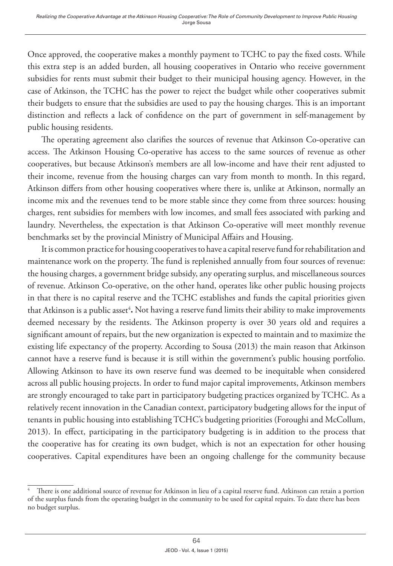Once approved, the cooperative makes a monthly payment to TCHC to pay the fixed costs. While this extra step is an added burden, all housing cooperatives in Ontario who receive government subsidies for rents must submit their budget to their municipal housing agency. However, in the case of Atkinson, the TCHC has the power to reject the budget while other cooperatives submit their budgets to ensure that the subsidies are used to pay the housing charges. This is an important distinction and reflects a lack of confidence on the part of government in self-management by public housing residents.

The operating agreement also clarifies the sources of revenue that Atkinson Co-operative can access. The Atkinson Housing Co-operative has access to the same sources of revenue as other cooperatives, but because Atkinson's members are all low-income and have their rent adjusted to their income, revenue from the housing charges can vary from month to month. In this regard, Atkinson differs from other housing cooperatives where there is, unlike at Atkinson, normally an income mix and the revenues tend to be more stable since they come from three sources: housing charges, rent subsidies for members with low incomes, and small fees associated with parking and laundry. Nevertheless, the expectation is that Atkinson Co-operative will meet monthly revenue benchmarks set by the provincial Ministry of Municipal Affairs and Housing.

It is common practice for housing cooperatives to have a capital reserve fund for rehabilitation and maintenance work on the property. The fund is replenished annually from four sources of revenue: the housing charges, a government bridge subsidy, any operating surplus, and miscellaneous sources of revenue. Atkinson Co-operative, on the other hand, operates like other public housing projects in that there is no capital reserve and the TCHC establishes and funds the capital priorities given that Atkinson is a public asset<sup>4</sup>. Not having a reserve fund limits their ability to make improvements deemed necessary by the residents. The Atkinson property is over 30 years old and requires a significant amount of repairs, but the new organization is expected to maintain and to maximize the existing life expectancy of the property. According to Sousa (2013) the main reason that Atkinson cannot have a reserve fund is because it is still within the government's public housing portfolio. Allowing Atkinson to have its own reserve fund was deemed to be inequitable when considered across all public housing projects. In order to fund major capital improvements, Atkinson members are strongly encouraged to take part in participatory budgeting practices organized by TCHC. As a relatively recent innovation in the Canadian context, participatory budgeting allows for the input of tenants in public housing into establishing TCHC's budgeting priorities (Foroughi and McCollum, 2013). In effect, participating in the participatory budgeting is in addition to the process that the cooperative has for creating its own budget, which is not an expectation for other housing cooperatives. Capital expenditures have been an ongoing challenge for the community because

<sup>4</sup> There is one additional source of revenue for Atkinson in lieu of a capital reserve fund. Atkinson can retain a portion of the surplus funds from the operating budget in the community to be used for capital repairs. To date there has been no budget surplus.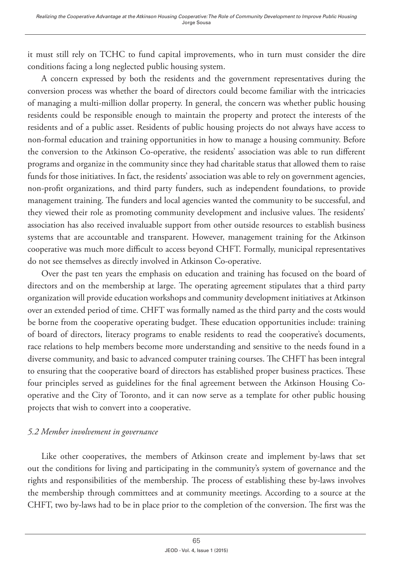it must still rely on TCHC to fund capital improvements, who in turn must consider the dire conditions facing a long neglected public housing system.

A concern expressed by both the residents and the government representatives during the conversion process was whether the board of directors could become familiar with the intricacies of managing a multi-million dollar property. In general, the concern was whether public housing residents could be responsible enough to maintain the property and protect the interests of the residents and of a public asset. Residents of public housing projects do not always have access to non-formal education and training opportunities in how to manage a housing community. Before the conversion to the Atkinson Co-operative, the residents' association was able to run different programs and organize in the community since they had charitable status that allowed them to raise funds for those initiatives. In fact, the residents' association was able to rely on government agencies, non-profit organizations, and third party funders, such as independent foundations, to provide management training. The funders and local agencies wanted the community to be successful, and they viewed their role as promoting community development and inclusive values. The residents' association has also received invaluable support from other outside resources to establish business systems that are accountable and transparent. However, management training for the Atkinson cooperative was much more difficult to access beyond CHFT. Formally, municipal representatives do not see themselves as directly involved in Atkinson Co-operative.

Over the past ten years the emphasis on education and training has focused on the board of directors and on the membership at large. The operating agreement stipulates that a third party organization will provide education workshops and community development initiatives at Atkinson over an extended period of time. CHFT was formally named as the third party and the costs would be borne from the cooperative operating budget. These education opportunities include: training of board of directors, literacy programs to enable residents to read the cooperative's documents, race relations to help members become more understanding and sensitive to the needs found in a diverse community, and basic to advanced computer training courses. The CHFT has been integral to ensuring that the cooperative board of directors has established proper business practices. These four principles served as guidelines for the final agreement between the Atkinson Housing Cooperative and the City of Toronto, and it can now serve as a template for other public housing projects that wish to convert into a cooperative.

# *5.2 Member involvement in governance*

Like other cooperatives, the members of Atkinson create and implement by-laws that set out the conditions for living and participating in the community's system of governance and the rights and responsibilities of the membership. The process of establishing these by-laws involves the membership through committees and at community meetings. According to a source at the CHFT, two by-laws had to be in place prior to the completion of the conversion. The first was the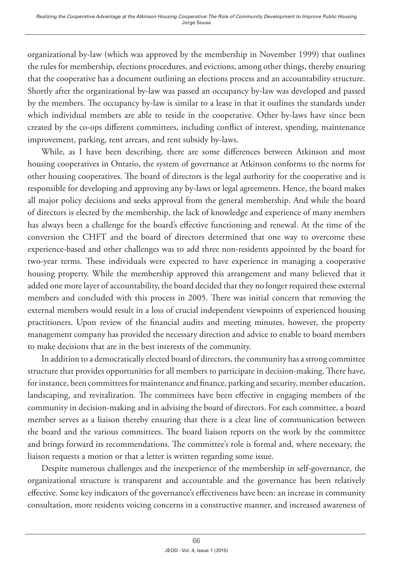organizational by-law (which was approved by the membership in November 1999) that outlines the rules for membership, elections procedures, and evictions, among other things, thereby ensuring that the cooperative has a document outlining an elections process and an accountability structure. Shortly after the organizational by-law was passed an occupancy by-law was developed and passed by the members. The occupancy by-law is similar to a lease in that it outlines the standards under which individual members are able to reside in the cooperative. Other by-laws have since been created by the co-ops different committees, including conflict of interest, spending, maintenance improvement, parking, rent arrears, and rent subsidy by-laws.

While, as I have been describing, there are some differences between Atkinson and most housing cooperatives in Ontario, the system of governance at Atkinson conforms to the norms for other housing cooperatives. The board of directors is the legal authority for the cooperative and is responsible for developing and approving any by-laws or legal agreements. Hence, the board makes all major policy decisions and seeks approval from the general membership. And while the board of directors is elected by the membership, the lack of knowledge and experience of many members has always been a challenge for the board's effective functioning and renewal. At the time of the conversion the CHFT and the board of directors determined that one way to overcome these experience-based and other challenges was to add three non-residents appointed by the board for two-year terms. These individuals were expected to have experience in managing a cooperative housing property. While the membership approved this arrangement and many believed that it added one more layer of accountability, the board decided that they no longer required these external members and concluded with this process in 2005. There was initial concern that removing the external members would result in a loss of crucial independent viewpoints of experienced housing practitioners. Upon review of the financial audits and meeting minutes, however, the property management company has provided the necessary direction and advice to enable to board members to make decisions that are in the best interests of the community.

In addition to a democratically elected board of directors, the community has a strong committee structure that provides opportunities for all members to participate in decision-making. There have, for instance, been committees for maintenance and finance, parking and security, member education, landscaping, and revitalization. The committees have been effective in engaging members of the community in decision-making and in advising the board of directors. For each committee, a board member serves as a liaison thereby ensuring that there is a clear line of communication between the board and the various committees. The board liaison reports on the work by the committee and brings forward its recommendations. The committee's role is formal and, where necessary, the liaison requests a motion or that a letter is written regarding some issue.

Despite numerous challenges and the inexperience of the membership in self-governance, the organizational structure is transparent and accountable and the governance has been relatively effective. Some key indicators of the governance's effectiveness have been: an increase in community consultation, more residents voicing concerns in a constructive manner, and increased awareness of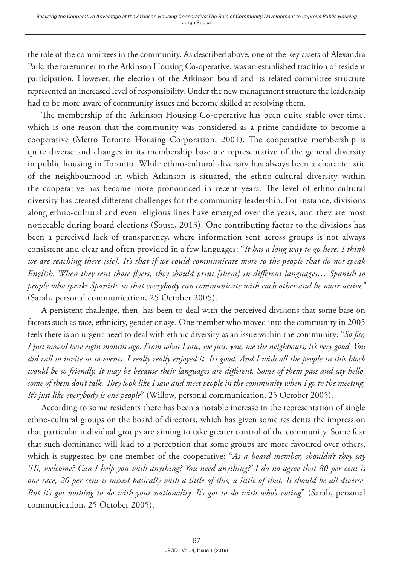the role of the committees in the community. As described above, one of the key assets of Alexandra Park, the forerunner to the Atkinson Housing Co-operative, was an established tradition of resident participation. However, the election of the Atkinson board and its related committee structure represented an increased level of responsibility. Under the new management structure the leadership had to be more aware of community issues and become skilled at resolving them.

The membership of the Atkinson Housing Co-operative has been quite stable over time, which is one reason that the community was considered as a prime candidate to become a cooperative (Metro Toronto Housing Corporation, 2001). The cooperative membership is quite diverse and changes in its membership base are representative of the general diversity in public housing in Toronto. While ethno-cultural diversity has always been a characteristic of the neighbourhood in which Atkinson is situated, the ethno-cultural diversity within the cooperative has become more pronounced in recent years. The level of ethno-cultural diversity has created different challenges for the community leadership. For instance, divisions along ethno-cultural and even religious lines have emerged over the years, and they are most noticeable during board elections (Sousa, 2013). One contributing factor to the divisions has been a perceived lack of transparency, where information sent across groups is not always consistent and clear and often provided in a few languages: "*It has a long way to go here. I think we are reaching there [sic]. It's that if we could communicate more to the people that do not speak English. When they sent those flyers, they should print [them] in different languages… Spanish to people who speaks Spanish, so that everybody can communicate with each other and be more active"* (Sarah, personal communication, 25 October 2005).

A persistent challenge, then, has been to deal with the perceived divisions that some base on factors such as race, ethnicity, gender or age. One member who moved into the community in 2005 feels there is an urgent need to deal with ethnic diversity as an issue within the community: "*So far, I just moved here eight months ago. From what I saw, we just, you, me the neighbours, it's very good. You did call to invite us to events. I really really enjoyed it. It's good. And I wish all the people in this block would be so friendly. It may be because their languages are different. Some of them pass and say hello, some of them don't talk. They look like I saw and meet people in the community when I go to the meeting. It's just like everybody is one people*" (Willow, personal communication, 25 October 2005).

According to some residents there has been a notable increase in the representation of single ethno-cultural groups on the board of directors, which has given some residents the impression that particular individual groups are aiming to take greater control of the community. Some fear that such dominance will lead to a perception that some groups are more favoured over others, which is suggested by one member of the cooperative: "*As a board member, shouldn't they say 'Hi, welcome? Can I help you with anything? You need anything?' I do no agree that 80 per cent is one race, 20 per cent is mixed basically with a little of this, a little of that. It should be all diverse. But it's got nothing to do with your nationality. It's got to do with who's voting*" (Sarah, personal communication, 25 October 2005).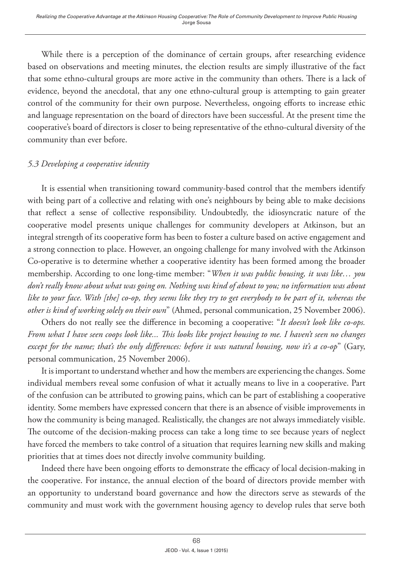While there is a perception of the dominance of certain groups, after researching evidence based on observations and meeting minutes, the election results are simply illustrative of the fact that some ethno-cultural groups are more active in the community than others. There is a lack of evidence, beyond the anecdotal, that any one ethno-cultural group is attempting to gain greater control of the community for their own purpose. Nevertheless, ongoing efforts to increase ethic and language representation on the board of directors have been successful. At the present time the cooperative's board of directors is closer to being representative of the ethno-cultural diversity of the community than ever before.

# *5.3 Developing a cooperative identity*

It is essential when transitioning toward community-based control that the members identify with being part of a collective and relating with one's neighbours by being able to make decisions that reflect a sense of collective responsibility. Undoubtedly, the idiosyncratic nature of the cooperative model presents unique challenges for community developers at Atkinson, but an integral strength of its cooperative form has been to foster a culture based on active engagement and a strong connection to place. However, an ongoing challenge for many involved with the Atkinson Co-operative is to determine whether a cooperative identity has been formed among the broader membership. According to one long-time member: "*When it was public housing, it was like… you don't really know about what was going on. Nothing was kind of about to you; no information was about like to your face. With [the] co-op, they seems like they try to get everybody to be part of it, whereas the other is kind of working solely on their own*" (Ahmed, personal communication, 25 November 2006).

Others do not really see the difference in becoming a cooperative: "*It doesn't look like co-ops. From what I have seen coops look like... This looks like project housing to me. I haven't seen no changes except for the name; that's the only differences: before it was natural housing, now it's a co-op*" (Gary, personal communication, 25 November 2006).

It is important to understand whether and how the members are experiencing the changes. Some individual members reveal some confusion of what it actually means to live in a cooperative. Part of the confusion can be attributed to growing pains, which can be part of establishing a cooperative identity. Some members have expressed concern that there is an absence of visible improvements in how the community is being managed. Realistically, the changes are not always immediately visible. The outcome of the decision-making process can take a long time to see because years of neglect have forced the members to take control of a situation that requires learning new skills and making priorities that at times does not directly involve community building.

Indeed there have been ongoing efforts to demonstrate the efficacy of local decision-making in the cooperative. For instance, the annual election of the board of directors provide member with an opportunity to understand board governance and how the directors serve as stewards of the community and must work with the government housing agency to develop rules that serve both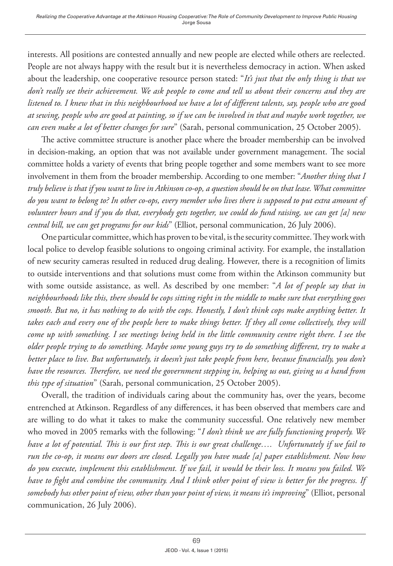interests. All positions are contested annually and new people are elected while others are reelected. People are not always happy with the result but it is nevertheless democracy in action. When asked about the leadership, one cooperative resource person stated: "*It's just that the only thing is that we don't really see their achievement. We ask people to come and tell us about their concerns and they are listened to. I knew that in this neighbourhood we have a lot of different talents, say, people who are good at sewing, people who are good at painting, so if we can be involved in that and maybe work together, we can even make a lot of better changes for sure*" (Sarah, personal communication, 25 October 2005).

The active committee structure is another place where the broader membership can be involved in decision-making, an option that was not available under government management. The social committee holds a variety of events that bring people together and some members want to see more involvement in them from the broader membership. According to one member: "*Another thing that I truly believe is that if you want to live in Atkinson co-op, a question should be on that lease. What committee do you want to belong to? In other co-ops, every member who lives there is supposed to put extra amount of volunteer hours and if you do that, everybody gets together, we could do fund raising, we can get [a] new central bill, we can get programs for our kids*" (Elliot, personal communication, 26 July 2006).

One particular committee, which has proven to be vital, is the security committee. They work with local police to develop feasible solutions to ongoing criminal activity. For example, the installation of new security cameras resulted in reduced drug dealing. However, there is a recognition of limits to outside interventions and that solutions must come from within the Atkinson community but with some outside assistance, as well. As described by one member: "*A lot of people say that in neighbourhoods like this, there should be cops sitting right in the middle to make sure that everything goes smooth. But no, it has nothing to do with the cops. Honestly, I don't think cops make anything better. It*  takes each and every one of the people here to make things better. If they all come collectively, they will *come up with something. I see meetings being held in the little community centre right there. I see the older people trying to do something. Maybe some young guys try to do something different, try to make a*  better place to live. But unfortunately, it doesn't just take people from here, because financially, you don't *have the resources. Therefore, we need the government stepping in, helping us out, giving us a hand from this type of situation*" (Sarah, personal communication, 25 October 2005).

Overall, the tradition of individuals caring about the community has, over the years, become entrenched at Atkinson. Regardless of any differences, it has been observed that members care and are willing to do what it takes to make the community successful. One relatively new member who moved in 2005 remarks with the following: "*I don't think we are fully functioning properly. We have a lot of potential. This is our first step. This is our great challenge…. Unfortunately if we fail to run the co-op, it means our doors are closed. Legally you have made [a] paper establishment. Now how do you execute, implement this establishment. If we fail, it would be their loss. It means you failed. We have to fight and combine the community. And I think other point of view is better for the progress. If somebody has other point of view, other than your point of view, it means it's improving*" (Elliot, personal communication, 26 July 2006).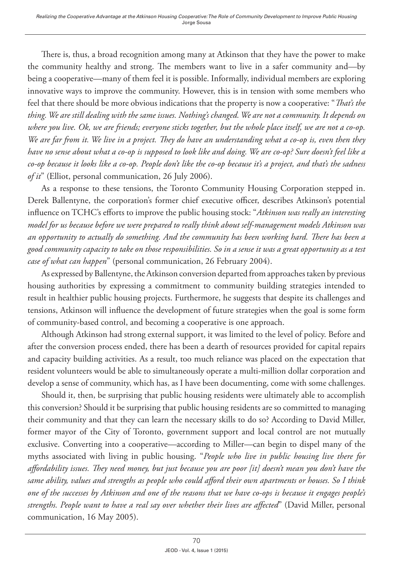There is, thus, a broad recognition among many at Atkinson that they have the power to make the community healthy and strong. The members want to live in a safer community and—by being a cooperative—many of them feel it is possible. Informally, individual members are exploring innovative ways to improve the community. However, this is in tension with some members who feel that there should be more obvious indications that the property is now a cooperative: "*That's the thing. We are still dealing with the same issues. Nothing's changed. We are not a community. It depends on where you live. Ok, we are friends; everyone sticks together, but the whole place itself, we are not a co-op. We are far from it. We live in a project. They do have an understanding what a co-op is, even then they have no sense about what a co-op is supposed to look like and doing. We are co-op? Sure doesn't feel like a co-op because it looks like a co-op. People don't like the co-op because it's a project, and that's the sadness of it*" (Elliot, personal communication, 26 July 2006).

As a response to these tensions, the Toronto Community Housing Corporation stepped in. Derek Ballentyne, the corporation's former chief executive officer, describes Atkinson's potential influence on TCHC's efforts to improve the public housing stock: "*Atkinson was really an interesting model for us because before we were prepared to really think about self-management models Atkinson was an opportunity to actually do something. And the community has been working hard. There has been a good community capacity to take on those responsibilities. So in a sense it was a great opportunity as a test case of what can happen*" (personal communication, 26 February 2004).

As expressed by Ballentyne, the Atkinson conversion departed from approaches taken by previous housing authorities by expressing a commitment to community building strategies intended to result in healthier public housing projects. Furthermore, he suggests that despite its challenges and tensions, Atkinson will influence the development of future strategies when the goal is some form of community-based control, and becoming a cooperative is one approach.

Although Atkinson had strong external support, it was limited to the level of policy. Before and after the conversion process ended, there has been a dearth of resources provided for capital repairs and capacity building activities. As a result, too much reliance was placed on the expectation that resident volunteers would be able to simultaneously operate a multi-million dollar corporation and develop a sense of community, which has, as I have been documenting, come with some challenges.

Should it, then, be surprising that public housing residents were ultimately able to accomplish this conversion? Should it be surprising that public housing residents are so committed to managing their community and that they can learn the necessary skills to do so? According to David Miller, former mayor of the City of Toronto, government support and local control are not mutually exclusive. Converting into a cooperative—according to Miller—can begin to dispel many of the myths associated with living in public housing. "*People who live in public housing live there for affordability issues. They need money, but just because you are poor [it] doesn't mean you don't have the same ability, values and strengths as people who could afford their own apartments or houses. So I think one of the successes by Atkinson and one of the reasons that we have co-ops is because it engages people's strengths. People want to have a real say over whether their lives are affected*" (David Miller, personal communication, 16 May 2005).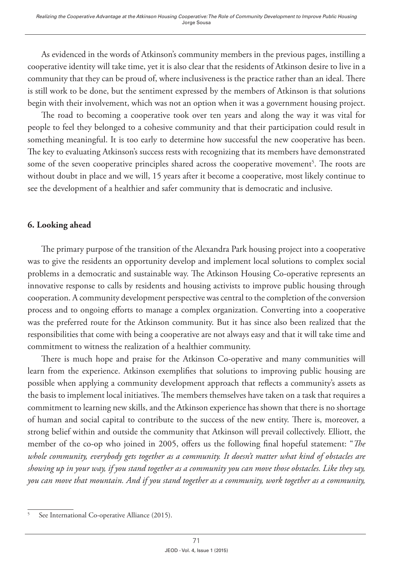As evidenced in the words of Atkinson's community members in the previous pages, instilling a cooperative identity will take time, yet it is also clear that the residents of Atkinson desire to live in a community that they can be proud of, where inclusiveness is the practice rather than an ideal. There is still work to be done, but the sentiment expressed by the members of Atkinson is that solutions begin with their involvement, which was not an option when it was a government housing project.

The road to becoming a cooperative took over ten years and along the way it was vital for people to feel they belonged to a cohesive community and that their participation could result in something meaningful. It is too early to determine how successful the new cooperative has been. The key to evaluating Atkinson's success rests with recognizing that its members have demonstrated some of the seven cooperative principles shared across the cooperative movement<sup>5</sup>. The roots are without doubt in place and we will, 15 years after it become a cooperative, most likely continue to see the development of a healthier and safer community that is democratic and inclusive.

# **6. Looking ahead**

The primary purpose of the transition of the Alexandra Park housing project into a cooperative was to give the residents an opportunity develop and implement local solutions to complex social problems in a democratic and sustainable way. The Atkinson Housing Co-operative represents an innovative response to calls by residents and housing activists to improve public housing through cooperation. A community development perspective was central to the completion of the conversion process and to ongoing efforts to manage a complex organization. Converting into a cooperative was the preferred route for the Atkinson community. But it has since also been realized that the responsibilities that come with being a cooperative are not always easy and that it will take time and commitment to witness the realization of a healthier community.

There is much hope and praise for the Atkinson Co-operative and many communities will learn from the experience. Atkinson exemplifies that solutions to improving public housing are possible when applying a community development approach that reflects a community's assets as the basis to implement local initiatives. The members themselves have taken on a task that requires a commitment to learning new skills, and the Atkinson experience has shown that there is no shortage of human and social capital to contribute to the success of the new entity. There is, moreover, a strong belief within and outside the community that Atkinson will prevail collectively. Elliott, the member of the co-op who joined in 2005, offers us the following final hopeful statement: "*The whole community, everybody gets together as a community. It doesn't matter what kind of obstacles are showing up in your way, if you stand together as a community you can move those obstacles. Like they say, you can move that mountain. And if you stand together as a community, work together as a community,* 

<sup>5</sup> See International Co-operative Alliance (2015).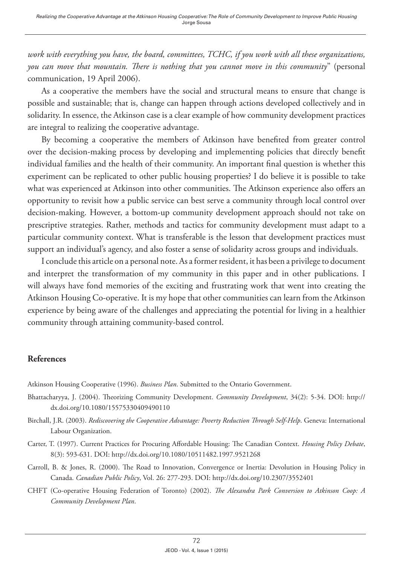*work with everything you have, the board, committees, TCHC, if you work with all these organizations, you can move that mountain. There is nothing that you cannot move in this community*" (personal communication, 19 April 2006).

As a cooperative the members have the social and structural means to ensure that change is possible and sustainable; that is, change can happen through actions developed collectively and in solidarity. In essence, the Atkinson case is a clear example of how community development practices are integral to realizing the cooperative advantage.

By becoming a cooperative the members of Atkinson have benefited from greater control over the decision-making process by developing and implementing policies that directly benefit individual families and the health of their community. An important final question is whether this experiment can be replicated to other public housing properties? I do believe it is possible to take what was experienced at Atkinson into other communities. The Atkinson experience also offers an opportunity to revisit how a public service can best serve a community through local control over decision-making. However, a bottom-up community development approach should not take on prescriptive strategies. Rather, methods and tactics for community development must adapt to a particular community context. What is transferable is the lesson that development practices must support an individual's agency, and also foster a sense of solidarity across groups and individuals.

I conclude this article on a personal note. As a former resident, it has been a privilege to document and interpret the transformation of my community in this paper and in other publications. I will always have fond memories of the exciting and frustrating work that went into creating the Atkinson Housing Co-operative. It is my hope that other communities can learn from the Atkinson experience by being aware of the challenges and appreciating the potential for living in a healthier community through attaining community-based control.

#### **References**

Atkinson Housing Cooperative (1996). *Business Plan*. Submitted to the Ontario Government.

- Bhattacharyya, J. (2004). Theorizing Community Development. *Community Development*, 34(2): 5-34. DOI: [http://](http://dx.doi.org/10.1080/15575330409490110) [dx.doi.org/10.1080/15575330409490110](http://dx.doi.org/10.1080/15575330409490110)
- Birchall, J.R. (2003). *Rediscovering the Cooperative Advantage: Poverty Reduction Through Self-Help*. Geneva: International Labour Organization.
- Carter, T. (1997). Current Practices for Procuring Affordable Housing: The Canadian Context. *Housing Policy Debate*, 8(3): 593-631. DOI: <http://dx.doi.org/10.1080/10511482.1997.9521268>
- Carroll, B. & Jones, R. (2000). The Road to Innovation, Convergence or Inertia: Devolution in Housing Policy in Canada. *Canadian Public Policy*, Vol. 26: 277-293. DOI:<http://dx.doi.org/10.2307/3552401>
- CHFT (Co-operative Housing Federation of Toronto) (2002). *The Alexandra Park Conversion to Atkinson Coop: A Community Development Plan*.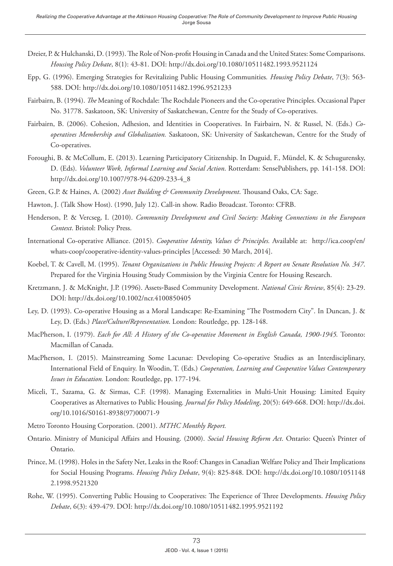- Dreier, P. & Hulchanski, D. (1993). The Role of Non-profit Housing in Canada and the United States: Some Comparisons. *Housing Policy Debate*, 8(1): 43-81. DOI:<http://dx.doi.org/10.1080/10511482.1993.9521124>
- Epp, G. (1996). Emerging Strategies for Revitalizing Public Housing Communities*. Housing Policy Debate*, 7(3): 563- 588. DOI:<http://dx.doi.org/10.1080/10511482.1996.9521233>
- Fairbairn, B. (1994). *The* Meaning of Rochdale: The Rochdale Pioneers and the Co-operative Principles. Occasional Paper No. 31778. Saskatoon, SK: University of Saskatchewan, Centre for the Study of Co-operatives.
- Fairbairn, B. (2006). Cohesion, Adhesion, and Identities in Cooperatives. In Fairbairn, N. & Russel, N. (Eds.) *Cooperatives Membership and Globalization.* Saskatoon, SK: University of Saskatchewan, Centre for the Study of Co-operatives.
- Foroughi, B. & McCollum, E. (2013). Learning Participatory Citizenship. In Duguid, F., Mündel, K. & Schugurensky, D. (Eds). *Volunteer Work, Informal Learning and Social Action*. Rotterdam: SensePublishers, pp. 141-158. DOI: [http://dx.doi.org/10.1007/978-94-6209-233-4\\_8](http://dx.doi.org/10.1007/978-94-6209-233-4_8)
- Green, G.P. & Haines, A. (2002) *Asset Building & Community Development*. Thousand Oaks, CA: Sage.
- Hawton, J. (Talk Show Host). (1990, July 12). Call-in show. Radio Broadcast. Toronto: CFRB.
- Henderson, P. & Vercseg, I. (2010). *Community Development and Civil Society: Making Connections in the European Context*. Bristol: Policy Press.
- International Co-operative Alliance. (2015). *Cooperative Identity, Values & Principles.* Available at: http://ica.coop/en/ whats-coop/cooperative-identity-values-principles [Accessed: 30 March, 2014].
- Koebel, T. & Cavell, M. (1995). *Tenant Organizations in Public Housing Projects: A Report on Senate Resolution No. 347*. Prepared for the Virginia Housing Study Commission by the Virginia Centre for Housing Research.
- Kretzmann, J. & McKnight, J.P. (1996). Assets‐Based Community Development. *National Civic Review*, 85(4): 23-29. DOI:<http://dx.doi.org/10.1002/ncr.4100850405>
- Ley, D. (1993). Co-operative Housing as a Moral Landscape: Re-Examining "The Postmodern City". In Duncan, J. & Ley, D. (Eds.) *Place/Culture/Representation*. London: Routledge, pp. 128-148.
- MacPherson, I. (1979). *Each for All: A History of the Co-operative Movement in English Canada, 1900-1945.* Toronto: Macmillan of Canada.
- MacPherson, I. (2015). Mainstreaming Some Lacunae: Developing Co-operative Studies as an Interdisciplinary, International Field of Enquiry. In Woodin, T. (Eds.) *Cooperation, Learning and Cooperative Values Contemporary Issues in Education.* London: Routledge, pp. 177-194.
- Miceli, T., Sazama, G. & Sirmas, C.F. (1998). Managing Externalities in Multi-Unit Housing: Limited Equity Cooperatives as Alternatives to Public Housing*. Journal for Policy Modeling*, 20(5): 649-668. DOI: http://dx.doi. org/10.1016/S0161-8938(97)00071-9
- Metro Toronto Housing Corporation. (2001). *MTHC Monthly Report.*
- Ontario. Ministry of Municipal Affairs and Housing. (2000). *Social Housing Reform Act*. Ontario: Queen's Printer of Ontario.
- Prince, M. (1998). Holes in the Safety Net, Leaks in the Roof: Changes in Canadian Welfare Policy and Their Implications for Social Housing Programs. *Housing Policy Debate*, 9(4): 825-848. DOI: [http://dx.doi.org/10.1080/1051148](http://dx.doi.org/10.1080/10511482.1998.9521320) [2.1998.9521320](http://dx.doi.org/10.1080/10511482.1998.9521320)
- Rohe, W. (1995). Converting Public Housing to Cooperatives: The Experience of Three Developments. *Housing Policy Debate*, 6(3): 439-479. DOI: <http://dx.doi.org/10.1080/10511482.1995.9521192>